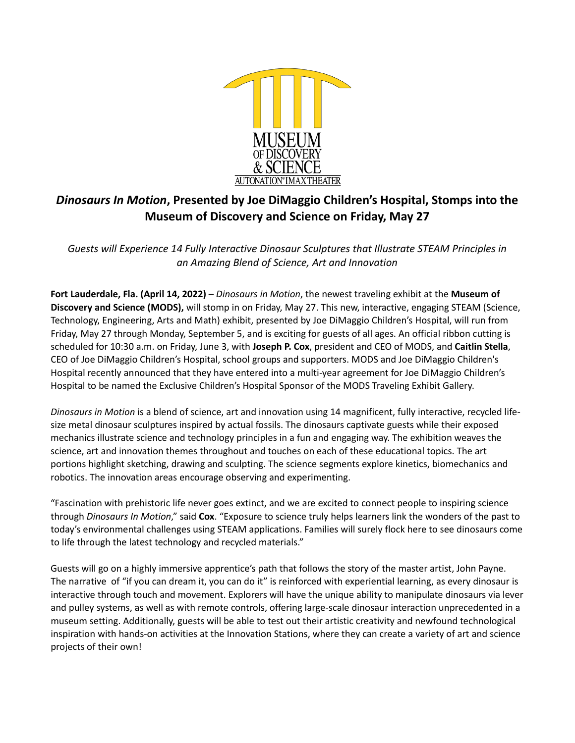

# *Dinosaurs In Motion***, Presented by Joe DiMaggio Children's Hospital, Stomps into the Museum of Discovery and Science on Friday, May 27**

*Guests will Experience 14 Fully Interactive Dinosaur Sculptures that Illustrate STEAM Principles in an Amazing Blend of Science, Art and Innovation* 

**Fort Lauderdale, Fla. (April 14, 2022)** – *Dinosaurs in Motion*, the newest traveling exhibit at the **Museum of Discovery and Science (MODS),** will stomp in on Friday, May 27. This new, interactive, engaging STEAM (Science, Technology, Engineering, Arts and Math) exhibit, presented by Joe DiMaggio Children's Hospital, will run from Friday, May 27 through Monday, September 5, and is exciting for guests of all ages. An official ribbon cutting is scheduled for 10:30 a.m. on Friday, June 3, with **Joseph P. Cox**, president and CEO of MODS, and **Caitlin Stella**, CEO of Joe DiMaggio Children's Hospital, school groups and supporters. MODS and Joe DiMaggio Children's Hospital recently announced that they have entered into a multi-year agreement for Joe DiMaggio Children's Hospital to be named the Exclusive Children's Hospital Sponsor of the MODS Traveling Exhibit Gallery.

*Dinosaurs in Motion* is a blend of science, art and innovation using 14 magnificent, fully interactive, recycled lifesize metal dinosaur sculptures inspired by actual fossils. The dinosaurs captivate guests while their exposed mechanics illustrate science and technology principles in a fun and engaging way. The exhibition weaves the science, art and innovation themes throughout and touches on each of these educational topics. The art portions highlight sketching, drawing and sculpting. The science segments explore kinetics, biomechanics and robotics. The innovation areas encourage observing and experimenting.

"Fascination with prehistoric life never goes extinct, and we are excited to connect people to inspiring science through *Dinosaurs In Motion*," said **Cox**. "Exposure to science truly helps learners link the wonders of the past to today's environmental challenges using STEAM applications. Families will surely flock here to see dinosaurs come to life through the latest technology and recycled materials."

Guests will go on a highly immersive apprentice's path that follows the story of the master artist, John Payne. The narrative of "if you can dream it, you can do it" is reinforced with experiential learning, as every dinosaur is interactive through touch and movement. Explorers will have the unique ability to manipulate dinosaurs via lever and pulley systems, as well as with remote controls, offering large-scale dinosaur interaction unprecedented in a museum setting. Additionally, guests will be able to test out their artistic creativity and newfound technological inspiration with hands-on activities at the Innovation Stations, where they can create a variety of art and science projects of their own!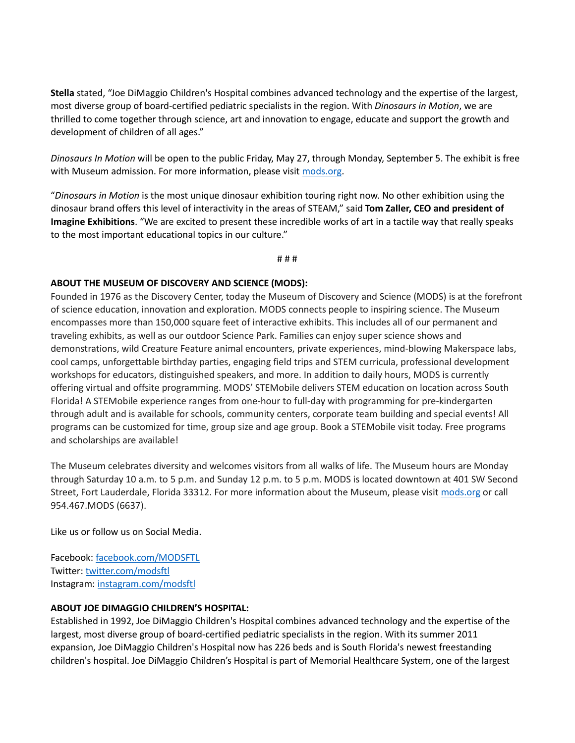**Stella** stated, "Joe DiMaggio Children's Hospital combines advanced technology and the expertise of the largest, most diverse group of board-certified pediatric specialists in the region. With *Dinosaurs in Motion*, we are thrilled to come together through science, art and innovation to engage, educate and support the growth and development of children of all ages."

*Dinosaurs In Motion* will be open to the public Friday, May 27, through Monday, September 5. The exhibit is free with Museum admission. For more information, please visi[t mods.org.](http://www.mods.org/)

"*Dinosaurs in Motion* is the most unique dinosaur exhibition touring right now. No other exhibition using the dinosaur brand offers this level of interactivity in the areas of STEAM," said **Tom Zaller, CEO and president of Imagine Exhibitions**. "We are excited to present these incredible works of art in a tactile way that really speaks to the most important educational topics in our culture."

# # #

### **ABOUT THE MUSEUM OF DISCOVERY AND SCIENCE (MODS):**

Founded in 1976 as the Discovery Center, today the Museum of Discovery and Science (MODS) is at the forefront of science education, innovation and exploration. MODS connects people to inspiring science. The Museum encompasses more than 150,000 square feet of interactive exhibits. This includes all of our permanent and traveling exhibits, as well as our outdoor Science Park. Families can enjoy super science shows and demonstrations, wild Creature Feature animal encounters, private experiences, mind-blowing Makerspace labs, cool camps, unforgettable birthday parties, engaging field trips and STEM curricula, professional development workshops for educators, distinguished speakers, and more. In addition to daily hours, MODS is currently offering virtual and offsite programming. MODS' STEMobile delivers STEM education on location across South Florida! A STEMobile experience ranges from one-hour to full-day with programming for pre-kindergarten through adult and is available for schools, community centers, corporate team building and special events! All programs can be customized for time, group size and age group. Book a STEMobile visit today. Free programs and scholarships are available!

The Museum celebrates diversity and welcomes visitors from all walks of life. The Museum hours are Monday through Saturday 10 a.m. to 5 p.m. and Sunday 12 p.m. to 5 p.m. MODS is located downtown at 401 SW Second Street, Fort Lauderdale, Florida 33312. For more information about the Museum, please visit [mods.org](http://mods.org/) or call 954.467.MODS (6637).

Like us or follow us on Social Media.

Facebook: [facebook.com/MODSFTL](http://www.facebook.com/MODSFTL) Twitter: [twitter.com/modsftl](http://www.twitter.com/modsftl) Instagram: [instagram.com/modsftl](http://www.instagram.com/modsftl)

### **ABOUT JOE DIMAGGIO CHILDREN'S HOSPITAL:**

Established in 1992, Joe DiMaggio Children's Hospital combines advanced technology and the expertise of the largest, most diverse group of board-certified pediatric specialists in the region. With its summer 2011 expansion, Joe DiMaggio Children's Hospital now has 226 beds and is South Florida's newest freestanding children's hospital. Joe DiMaggio Children's Hospital is part of Memorial Healthcare System, one of the largest